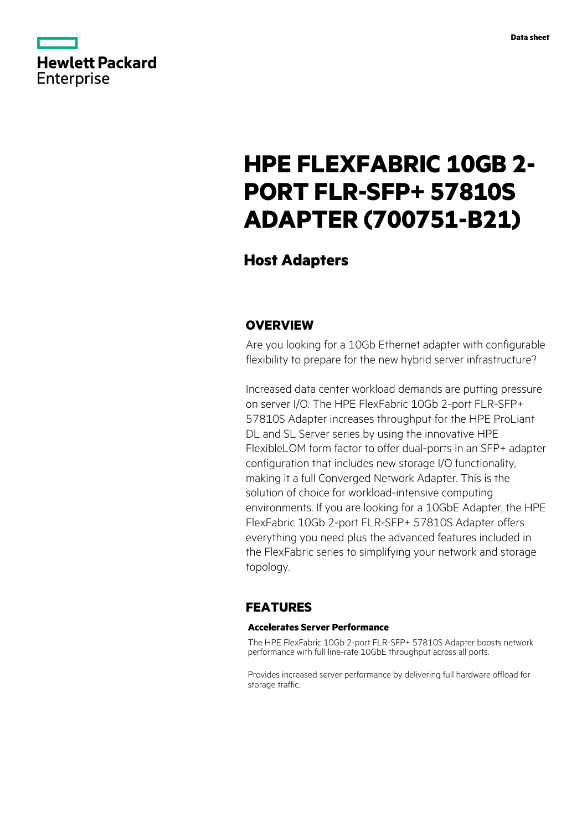

# **HPE FLEXFABRIC 10GB 2- PORT FLR-SFP+ 57810S ADAPTER (700751-B21)**

# **Host Adapters**

## **OVERVIEW**

Are you looking for a 10Gb Ethernet adapter with configurable flexibility to prepare for the new hybrid server infrastructure?

Increased data center workload demands are putting pressure on server I/O. The HPE FlexFabric 10Gb 2-port FLR-SFP+ 57810S Adapter increases throughput for the HPE ProLiant DL and SL Server series by using the innovative HPE FlexibleLOM form factor to offer dual-ports in an SFP+ adapter configuration that includes new storage I/O functionality, making it a full Converged Network Adapter. This is the solution of choice for workload-intensive computing environments. If you are looking for a 10GbE Adapter, the HPE FlexFabric 10Gb 2-port FLR-SFP+ 57810S Adapter offers everything you need plus the advanced features included in the FlexFabric series to simplifying your network and storage topology.

# **FEATURES**

### **Accelerates Server Performance**

The HPE FlexFabric 10Gb 2-port FLR-SFP+ 57810S Adapter boosts network performance with full line-rate 10GbE throughput across all ports.

Provides increased server performance by delivering full hardware offload for storage traffic.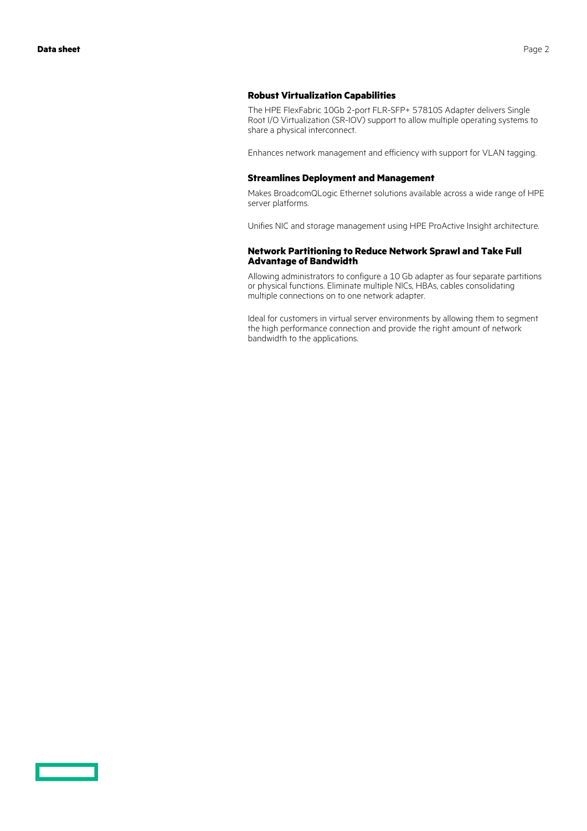The HPE FlexFabric 10Gb 2-port FLR-SFP+ 57810S Adapter delivers Single Root I/O Virtualization (SR-IOV) support to allow multiple operating systems to share a physical interconnect.

Enhances network management and efficiency with support for VLAN tagging.

#### **Streamlines Deployment and Management**

**Robust Virtualization Capabilities**

Makes BroadcomQLogic Ethernet solutions available across a wide range of HPE server platforms.

Unifies NIC and storage management using HPE ProActive Insight architecture.

#### **Network Partitioning to Reduce Network Sprawl and Take Full Advantage of Bandwidth**

Allowing administrators to configure a 10 Gb adapter as four separate partitions or physical functions. Eliminate multiple NICs, HBAs, cables consolidating multiple connections on to one network adapter.

Ideal for customers in virtual server environments by allowing them to segment the high performance connection and provide the right amount of network bandwidth to the applications.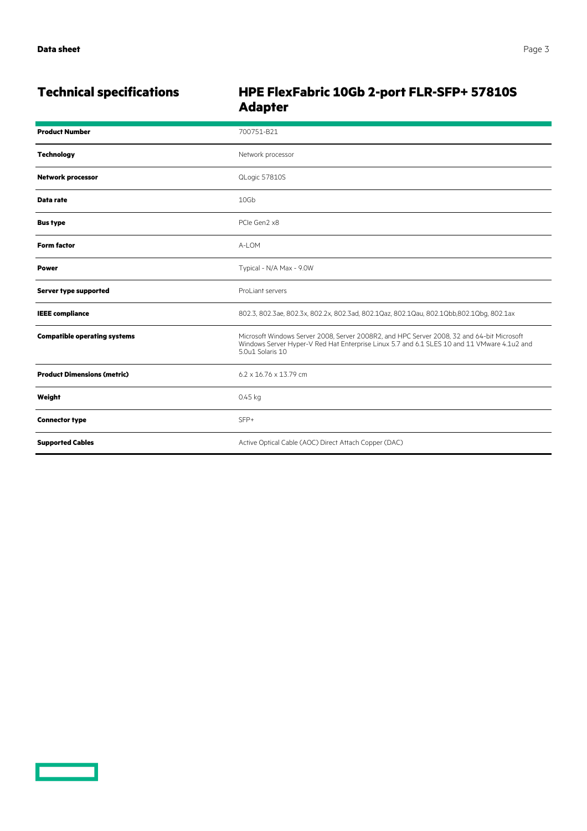<u>a sa saidh an san Saorann an S</u>

# **Technical specifications HPE FlexFabric 10Gb 2-port FLR-SFP+ 57810S Adapter**

| <b>Product Number</b>               | 700751-B21                                                                                                                                                                                                    |
|-------------------------------------|---------------------------------------------------------------------------------------------------------------------------------------------------------------------------------------------------------------|
| <b>Technology</b>                   | Network processor                                                                                                                                                                                             |
| <b>Network processor</b>            | QLogic 57810S                                                                                                                                                                                                 |
| Data rate                           | 10Gb                                                                                                                                                                                                          |
| <b>Bus type</b>                     | PCIe Gen2 x8                                                                                                                                                                                                  |
| <b>Form factor</b>                  | A-LOM                                                                                                                                                                                                         |
| <b>Power</b>                        | Typical - N/A Max - 9.0W                                                                                                                                                                                      |
| Server type supported               | ProLiant servers                                                                                                                                                                                              |
| <b>IEEE</b> compliance              | 802.3, 802.3ae, 802.3x, 802.2x, 802.3ad, 802.1Qaz, 802.1Qau, 802.1Qbb,802.1Qbg, 802.1ax                                                                                                                       |
| <b>Compatible operating systems</b> | Microsoft Windows Server 2008, Server 2008R2, and HPC Server 2008, 32 and 64-bit Microsoft<br>Windows Server Hyper-V Red Hat Enterprise Linux 5.7 and 6.1 SLES 10 and 11 VMware 4.1u2 and<br>5.0u1 Solaris 10 |
| <b>Product Dimensions (metric)</b>  | $6.2 \times 16.76 \times 13.79$ cm                                                                                                                                                                            |
| Weight                              | $0.45$ kg                                                                                                                                                                                                     |
| <b>Connector type</b>               | SFP+                                                                                                                                                                                                          |
| <b>Supported Cables</b>             | Active Optical Cable (AOC) Direct Attach Copper (DAC)                                                                                                                                                         |